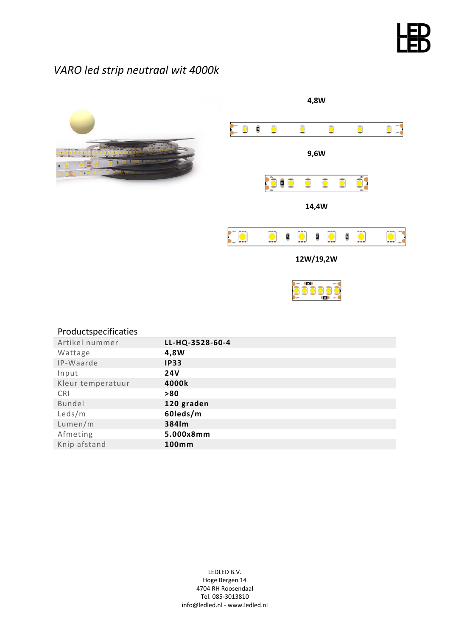# *VARO led strip neutraal wit 4000k*



| Productspecificaties |                 |
|----------------------|-----------------|
| Artikel nummer       | LL-HQ-3528-60-4 |
| Wattage              | 4,8W            |
| IP-Waarde            | <b>IP33</b>     |
| Input                | <b>24V</b>      |
| Kleur temperatuur    | 4000k           |
| <b>CRI</b>           | > 80            |
| Bundel               | 120 graden      |
| Leds/m               | 60leds/m        |
| Lumen/m              | 384lm           |
| Afmeting             | 5.000x8mm       |
| Knip afstand         | 100mm           |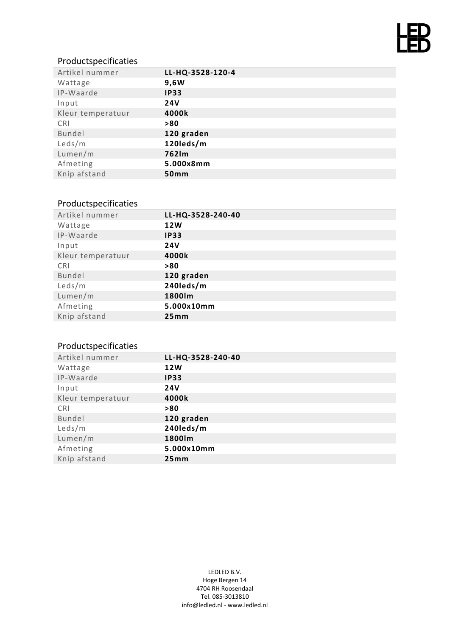

### Productspecificaties

| Artikel nummer    | LL-HQ-3528-120-4 |
|-------------------|------------------|
| Wattage           | 9,6W             |
| IP-Waarde         | <b>IP33</b>      |
| Input             | <b>24V</b>       |
| Kleur temperatuur | 4000k            |
| CRI               | >80              |
| Bundel            | 120 graden       |
| Leds/m            | 120leds/m        |
| Lumen/m           | 762lm            |
| Afmeting          | 5.000x8mm        |
| Knip afstand      | 50mm             |

#### Productspecificaties

| Artikel nummer    | LL-HQ-3528-240-40 |
|-------------------|-------------------|
| Wattage           | <b>12W</b>        |
| IP-Waarde         | <b>IP33</b>       |
| Input             | <b>24V</b>        |
| Kleur temperatuur | 4000k             |
| <b>CRI</b>        | >80               |
| Bundel            | 120 graden        |
| Leds/m            | 240leds/m         |
| Lumen/m           | 1800lm            |
| Afmeting          | 5.000x10mm        |
| Knip afstand      | 25mm              |
|                   |                   |

## Productspecificaties

| Artikel nummer    | LL-HQ-3528-240-40 |
|-------------------|-------------------|
| Wattage           | <b>12W</b>        |
| IP-Waarde         | <b>IP33</b>       |
| Input             | <b>24V</b>        |
| Kleur temperatuur | 4000k             |
| <b>CRI</b>        | >80               |
| Bundel            | 120 graden        |
| Leds/m            | 240leds/m         |
| Lumen/m           | 1800lm            |
| Afmeting          | 5.000x10mm        |
| Knip afstand      | 25mm              |